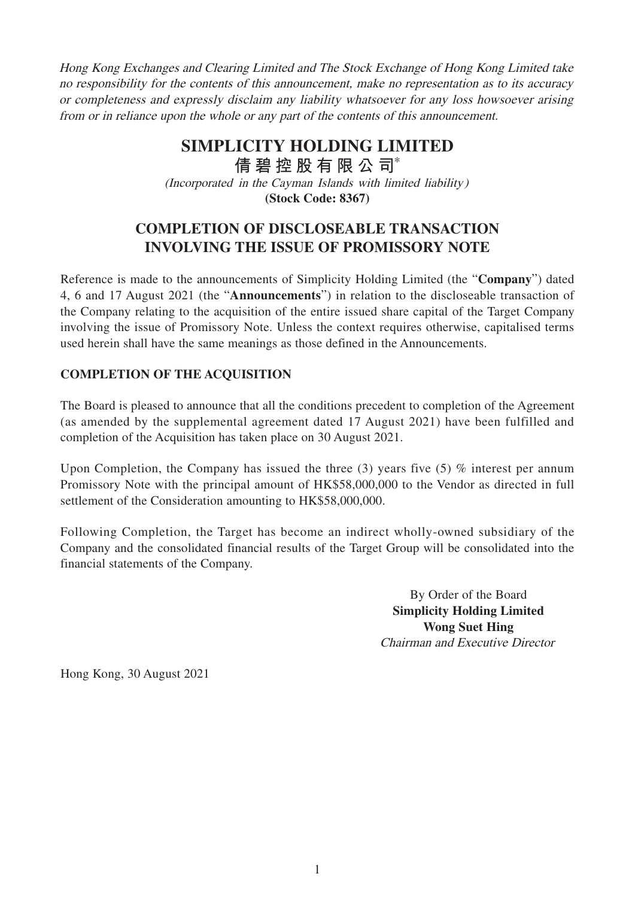Hong Kong Exchanges and Clearing Limited and The Stock Exchange of Hong Kong Limited take no responsibility for the contents of this announcement, make no representation as to its accuracy or completeness and expressly disclaim any liability whatsoever for any loss howsoever arising from or in reliance upon the whole or any part of the contents of this announcement.

## **SIMPLICITY HOLDING LIMITED**

(Incorporated in the Cayman Islands with limited liability) **(Stock Code: 8367) 倩碧控股有限公 司**\*

## **COMPLETION OF DISCLOSEABLE TRANSACTION INVOLVING THE ISSUE OF PROMISSORY NOTE**

Reference is made to the announcements of Simplicity Holding Limited (the "**Company**") dated 4, 6 and 17 August 2021 (the "**Announcements**") in relation to the discloseable transaction of the Company relating to the acquisition of the entire issued share capital of the Target Company involving the issue of Promissory Note. Unless the context requires otherwise, capitalised terms used herein shall have the same meanings as those defined in the Announcements.

## **COMPLETION OF THE ACQUISITION**

The Board is pleased to announce that all the conditions precedent to completion of the Agreement (as amended by the supplemental agreement dated 17 August 2021) have been fulfilled and completion of the Acquisition has taken place on 30 August 2021.

Upon Completion, the Company has issued the three (3) years five (5) % interest per annum Promissory Note with the principal amount of HK\$58,000,000 to the Vendor as directed in full settlement of the Consideration amounting to HK\$58,000,000.

Following Completion, the Target has become an indirect wholly-owned subsidiary of the Company and the consolidated financial results of the Target Group will be consolidated into the financial statements of the Company.

> By Order of the Board **Simplicity Holding Limited Wong Suet Hing** Chairman and Executive Director

Hong Kong, 30 August 2021